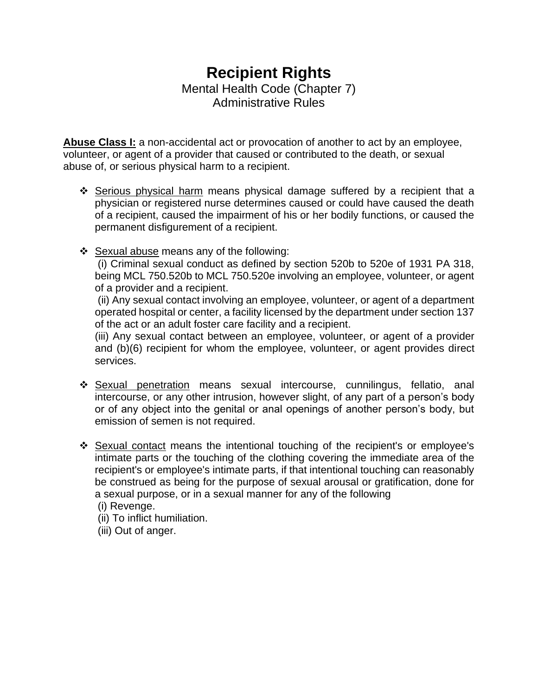# **Recipient Rights** Mental Health Code (Chapter 7) Administrative Rules

**Abuse Class I:** a non-accidental act or provocation of another to act by an employee, volunteer, or agent of a provider that caused or contributed to the death, or sexual abuse of, or serious physical harm to a recipient.

- ❖ Serious physical harm means physical damage suffered by a recipient that a physician or registered nurse determines caused or could have caused the death of a recipient, caused the impairment of his or her bodily functions, or caused the permanent disfigurement of a recipient.
- ❖ Sexual abuse means any of the following:

(i) Criminal sexual conduct as defined by section 520b to 520e of 1931 PA 318, being MCL 750.520b to MCL 750.520e involving an employee, volunteer, or agent of a provider and a recipient.

(ii) Any sexual contact involving an employee, volunteer, or agent of a department operated hospital or center, a facility licensed by the department under section 137 of the act or an adult foster care facility and a recipient.

(iii) Any sexual contact between an employee, volunteer, or agent of a provider and (b)(6) recipient for whom the employee, volunteer, or agent provides direct services.

- ❖ Sexual penetration means sexual intercourse, cunnilingus, fellatio, anal intercourse, or any other intrusion, however slight, of any part of a person's body or of any object into the genital or anal openings of another person's body, but emission of semen is not required.
- ❖ Sexual contact means the intentional touching of the recipient's or employee's intimate parts or the touching of the clothing covering the immediate area of the recipient's or employee's intimate parts, if that intentional touching can reasonably be construed as being for the purpose of sexual arousal or gratification, done for a sexual purpose, or in a sexual manner for any of the following
	- (i) Revenge.
	- (ii) To inflict humiliation.
	- (iii) Out of anger.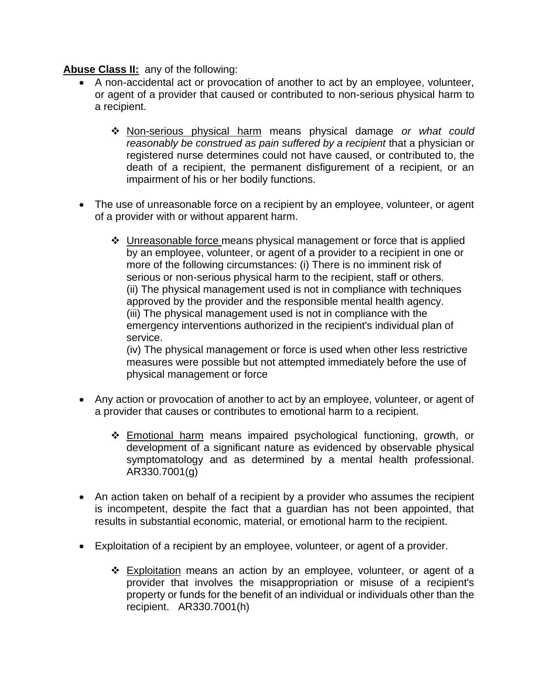#### **Abuse Class II:** any of the following:

- A non-accidental act or provocation of another to act by an employee, volunteer, or agent of a provider that caused or contributed to non-serious physical harm to a recipient.
	- ❖ Non-serious physical harm means physical damage *or what could reasonably be construed as pain suffered by a recipient* that a physician or registered nurse determines could not have caused, or contributed to, the death of a recipient, the permanent disfigurement of a recipient, or an impairment of his or her bodily functions.
- The use of unreasonable force on a recipient by an employee, volunteer, or agent of a provider with or without apparent harm.
	- $\div$  Unreasonable force means physical management or force that is applied by an employee, volunteer, or agent of a provider to a recipient in one or more of the following circumstances: (i) There is no imminent risk of serious or non-serious physical harm to the recipient, staff or others. (ii) The physical management used is not in compliance with techniques approved by the provider and the responsible mental health agency. (iii) The physical management used is not in compliance with the emergency interventions authorized in the recipient's individual plan of service.

(iv) The physical management or force is used when other less restrictive measures were possible but not attempted immediately before the use of physical management or force

- Any action or provocation of another to act by an employee, volunteer, or agent of a provider that causes or contributes to emotional harm to a recipient.
	- ❖ Emotional harm means impaired psychological functioning, growth, or development of a significant nature as evidenced by observable physical symptomatology and as determined by a mental health professional. AR330.7001(g)
- An action taken on behalf of a recipient by a provider who assumes the recipient is incompetent, despite the fact that a guardian has not been appointed, that results in substantial economic, material, or emotional harm to the recipient.
- Exploitation of a recipient by an employee, volunteer, or agent of a provider.
	- ❖ Exploitation means an action by an employee, volunteer, or agent of a provider that involves the misappropriation or misuse of a recipient's property or funds for the benefit of an individual or individuals other than the recipient. AR330.7001(h)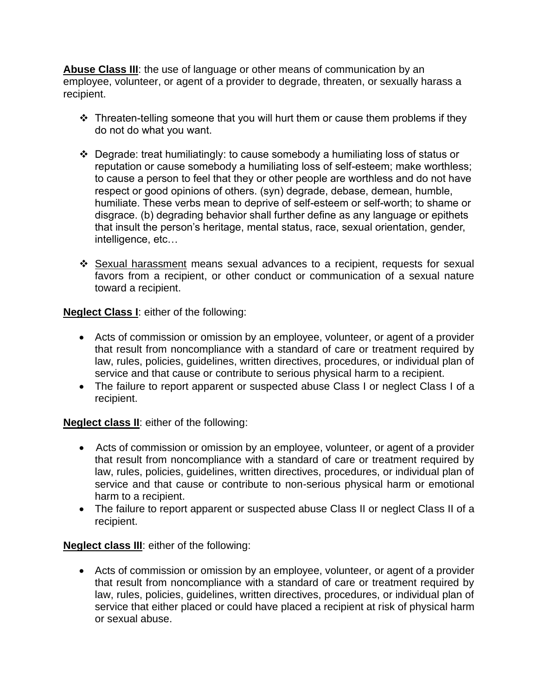**Abuse Class III**: the use of language or other means of communication by an employee, volunteer, or agent of a provider to degrade, threaten, or sexually harass a recipient.

- ❖ Threaten-telling someone that you will hurt them or cause them problems if they do not do what you want.
- ❖ Degrade: treat humiliatingly: to cause somebody a humiliating loss of status or reputation or cause somebody a humiliating loss of self-esteem; make worthless; to cause a person to feel that they or other people are worthless and do not have respect or good opinions of others. (syn) degrade, debase, demean, humble, humiliate. These verbs mean to deprive of self-esteem or self-worth; to shame or disgrace. (b) degrading behavior shall further define as any language or epithets that insult the person's heritage, mental status, race, sexual orientation, gender, intelligence, etc…
- ❖ Sexual harassment means sexual advances to a recipient, requests for sexual favors from a recipient, or other conduct or communication of a sexual nature toward a recipient.

**Neglect Class I**: either of the following:

- Acts of commission or omission by an employee, volunteer, or agent of a provider that result from noncompliance with a standard of care or treatment required by law, rules, policies, guidelines, written directives, procedures, or individual plan of service and that cause or contribute to serious physical harm to a recipient.
- The failure to report apparent or suspected abuse Class I or neglect Class I of a recipient.

**Neglect class II**: either of the following:

- Acts of commission or omission by an employee, volunteer, or agent of a provider that result from noncompliance with a standard of care or treatment required by law, rules, policies, guidelines, written directives, procedures, or individual plan of service and that cause or contribute to non-serious physical harm or emotional harm to a recipient.
- The failure to report apparent or suspected abuse Class II or neglect Class II of a recipient.

**Neglect class III**: either of the following:

• Acts of commission or omission by an employee, volunteer, or agent of a provider that result from noncompliance with a standard of care or treatment required by law, rules, policies, guidelines, written directives, procedures, or individual plan of service that either placed or could have placed a recipient at risk of physical harm or sexual abuse.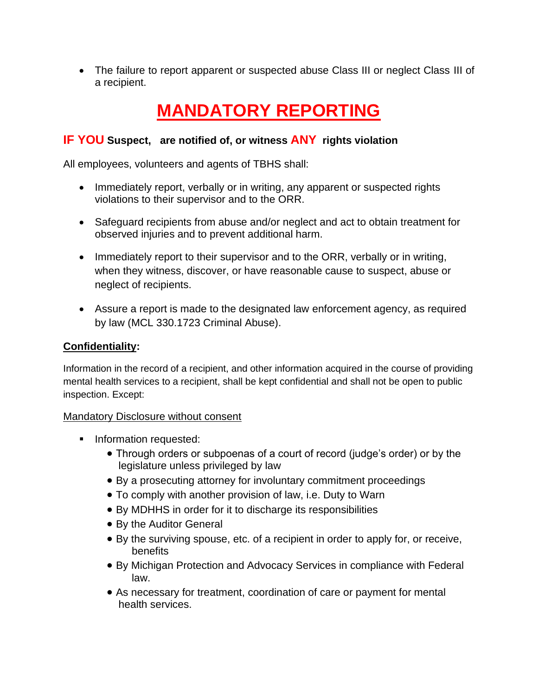• The failure to report apparent or suspected abuse Class III or neglect Class III of a recipient.

# **MANDATORY REPORTING**

# **IF YOU Suspect, are notified of, or witness ANY rights violation**

All employees, volunteers and agents of TBHS shall:

- Immediately report, verbally or in writing, any apparent or suspected rights violations to their supervisor and to the ORR.
- Safeguard recipients from abuse and/or neglect and act to obtain treatment for observed injuries and to prevent additional harm.
- Immediately report to their supervisor and to the ORR, verbally or in writing, when they witness, discover, or have reasonable cause to suspect, abuse or neglect of recipients.
- Assure a report is made to the designated law enforcement agency, as required by law (MCL 330.1723 Criminal Abuse).

#### **Confidentiality:**

Information in the record of a recipient, and other information acquired in the course of providing mental health services to a recipient, shall be kept confidential and shall not be open to public inspection. Except:

#### Mandatory Disclosure without consent

- **■** Information requested:
	- Through orders or subpoenas of a court of record (judge's order) or by the legislature unless privileged by law
	- By a prosecuting attorney for involuntary commitment proceedings
	- To comply with another provision of law, i.e. Duty to Warn
	- By MDHHS in order for it to discharge its responsibilities
	- By the Auditor General
	- By the surviving spouse, etc. of a recipient in order to apply for, or receive, benefits
	- By Michigan Protection and Advocacy Services in compliance with Federal law.
	- As necessary for treatment, coordination of care or payment for mental health services.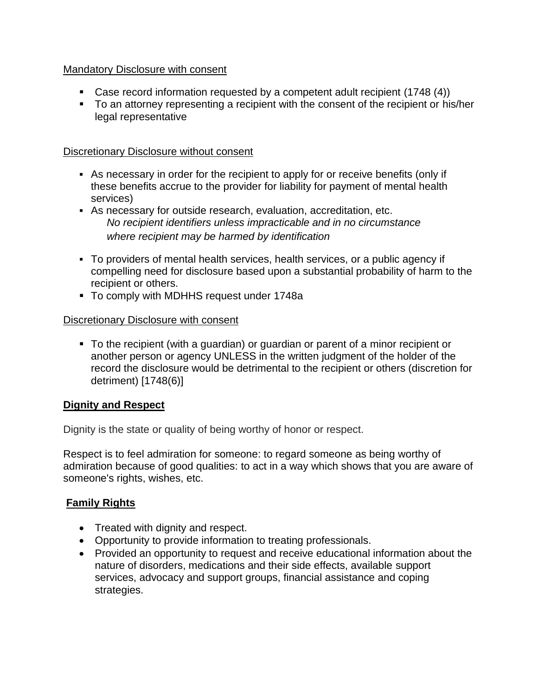#### Mandatory Disclosure with consent

- Case record information requested by a competent adult recipient (1748 (4))
- To an attorney representing a recipient with the consent of the recipient or his/her legal representative

#### Discretionary Disclosure without consent

- As necessary in order for the recipient to apply for or receive benefits (only if these benefits accrue to the provider for liability for payment of mental health services)
- As necessary for outside research, evaluation, accreditation, etc. *No recipient identifiers unless impracticable and in no circumstance where recipient may be harmed by identification*
- To providers of mental health services, health services, or a public agency if compelling need for disclosure based upon a substantial probability of harm to the recipient or others.
- To comply with MDHHS request under 1748a

#### Discretionary Disclosure with consent

▪ To the recipient (with a guardian) or guardian or parent of a minor recipient or another person or agency UNLESS in the written judgment of the holder of the record the disclosure would be detrimental to the recipient or others (discretion for detriment) [1748(6)]

#### **Dignity and Respect**

Dignity is the state or quality of being worthy of honor or respect.

Respect is to feel admiration for someone: to regard someone as being worthy of admiration because of good qualities: to act in a way which shows that you are aware of someone's rights, wishes, etc.

# **Family Rights**

- Treated with dignity and respect.
- Opportunity to provide information to treating professionals.
- Provided an opportunity to request and receive educational information about the nature of disorders, medications and their side effects, available support services, advocacy and support groups, financial assistance and coping strategies.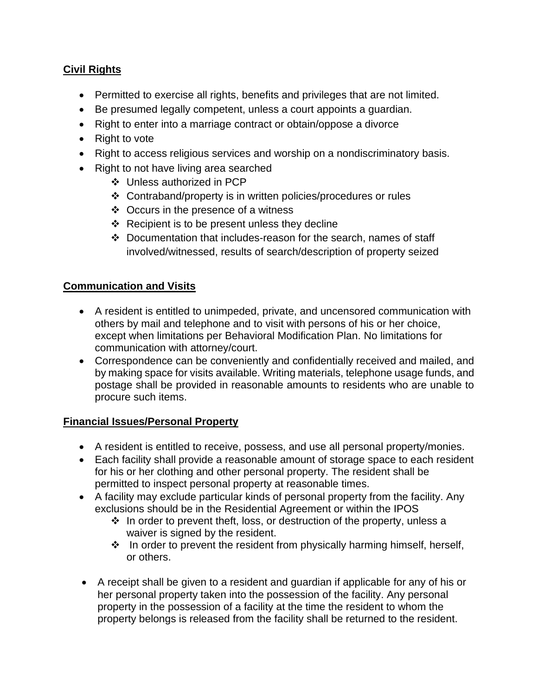# **Civil Rights**

- Permitted to exercise all rights, benefits and privileges that are not limited.
- Be presumed legally competent, unless a court appoints a guardian.
- Right to enter into a marriage contract or obtain/oppose a divorce
- Right to vote
- Right to access religious services and worship on a nondiscriminatory basis.
- Right to not have living area searched
	- ❖ Unless authorized in PCP
	- ❖ Contraband/property is in written policies/procedures or rules
	- ❖ Occurs in the presence of a witness
	- ❖ Recipient is to be present unless they decline
	- ❖ Documentation that includes-reason for the search, names of staff involved/witnessed, results of search/description of property seized

# **Communication and Visits**

- A resident is entitled to unimpeded, private, and uncensored communication with others by mail and telephone and to visit with persons of his or her choice, except when limitations per Behavioral Modification Plan. No limitations for communication with attorney/court.
- Correspondence can be conveniently and confidentially received and mailed, and by making space for visits available. Writing materials, telephone usage funds, and postage shall be provided in reasonable amounts to residents who are unable to procure such items.

#### **Financial Issues/Personal Property**

- A resident is entitled to receive, possess, and use all personal property/monies.
- Each facility shall provide a reasonable amount of storage space to each resident for his or her clothing and other personal property. The resident shall be permitted to inspect personal property at reasonable times.
- A facility may exclude particular kinds of personal property from the facility. Any exclusions should be in the Residential Agreement or within the IPOS
	- $\cdot$  In order to prevent theft, loss, or destruction of the property, unless a waiver is signed by the resident.
	- ❖ In order to prevent the resident from physically harming himself, herself, or others.
- A receipt shall be given to a resident and guardian if applicable for any of his or her personal property taken into the possession of the facility. Any personal property in the possession of a facility at the time the resident to whom the property belongs is released from the facility shall be returned to the resident.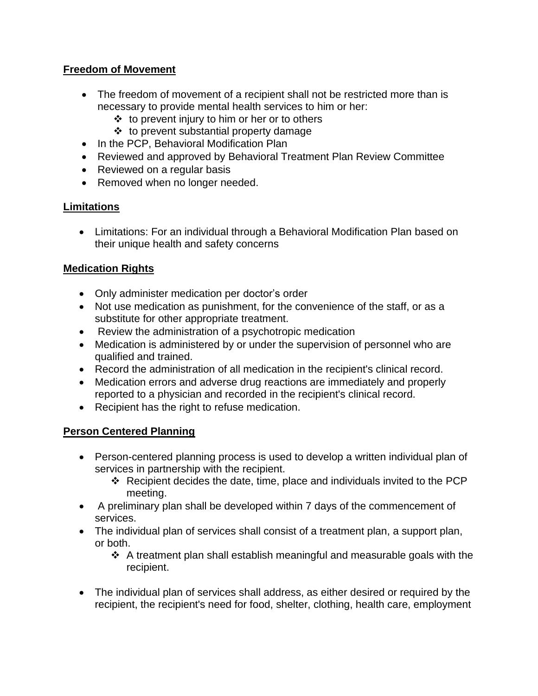#### **Freedom of Movement**

- The freedom of movement of a recipient shall not be restricted more than is necessary to provide mental health services to him or her:
	- ❖ to prevent injury to him or her or to others
	- ❖ to prevent substantial property damage
- In the PCP, Behavioral Modification Plan
- Reviewed and approved by Behavioral Treatment Plan Review Committee
- Reviewed on a regular basis
- Removed when no longer needed.

# **Limitations**

• Limitations: For an individual through a Behavioral Modification Plan based on their unique health and safety concerns

# **Medication Rights**

- Only administer medication per doctor's order
- Not use medication as punishment, for the convenience of the staff, or as a substitute for other appropriate treatment.
- Review the administration of a psychotropic medication
- Medication is administered by or under the supervision of personnel who are qualified and trained.
- Record the administration of all medication in the recipient's clinical record.
- Medication errors and adverse drug reactions are immediately and properly reported to a physician and recorded in the recipient's clinical record.
- Recipient has the right to refuse medication.

# **Person Centered Planning**

- Person-centered planning process is used to develop a written individual plan of services in partnership with the recipient.
	- ❖ Recipient decides the date, time, place and individuals invited to the PCP meeting.
- A preliminary plan shall be developed within 7 days of the commencement of services.
- The individual plan of services shall consist of a treatment plan, a support plan, or both.
	- ❖ A treatment plan shall establish meaningful and measurable goals with the recipient.
- The individual plan of services shall address, as either desired or required by the recipient, the recipient's need for food, shelter, clothing, health care, employment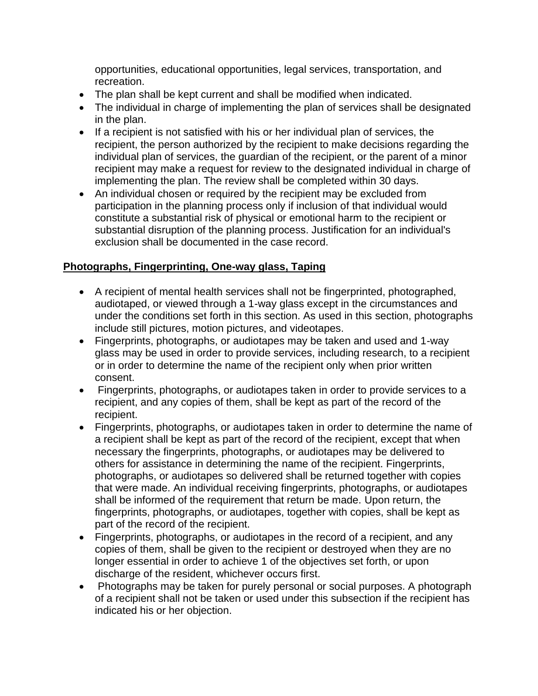opportunities, educational opportunities, legal services, transportation, and recreation.

- The plan shall be kept current and shall be modified when indicated.
- The individual in charge of implementing the plan of services shall be designated in the plan.
- If a recipient is not satisfied with his or her individual plan of services, the recipient, the person authorized by the recipient to make decisions regarding the individual plan of services, the guardian of the recipient, or the parent of a minor recipient may make a request for review to the designated individual in charge of implementing the plan. The review shall be completed within 30 days.
- An individual chosen or required by the recipient may be excluded from participation in the planning process only if inclusion of that individual would constitute a substantial risk of physical or emotional harm to the recipient or substantial disruption of the planning process. Justification for an individual's exclusion shall be documented in the case record.

# **Photographs, Fingerprinting, One-way glass, Taping**

- A recipient of mental health services shall not be fingerprinted, photographed, audiotaped, or viewed through a 1-way glass except in the circumstances and under the conditions set forth in this section. As used in this section, photographs include still pictures, motion pictures, and videotapes.
- Fingerprints, photographs, or audiotapes may be taken and used and 1-way glass may be used in order to provide services, including research, to a recipient or in order to determine the name of the recipient only when prior written consent.
- Fingerprints, photographs, or audiotapes taken in order to provide services to a recipient, and any copies of them, shall be kept as part of the record of the recipient.
- Fingerprints, photographs, or audiotapes taken in order to determine the name of a recipient shall be kept as part of the record of the recipient, except that when necessary the fingerprints, photographs, or audiotapes may be delivered to others for assistance in determining the name of the recipient. Fingerprints, photographs, or audiotapes so delivered shall be returned together with copies that were made. An individual receiving fingerprints, photographs, or audiotapes shall be informed of the requirement that return be made. Upon return, the fingerprints, photographs, or audiotapes, together with copies, shall be kept as part of the record of the recipient.
- Fingerprints, photographs, or audiotapes in the record of a recipient, and any copies of them, shall be given to the recipient or destroyed when they are no longer essential in order to achieve 1 of the objectives set forth, or upon discharge of the resident, whichever occurs first.
- Photographs may be taken for purely personal or social purposes. A photograph of a recipient shall not be taken or used under this subsection if the recipient has indicated his or her objection.